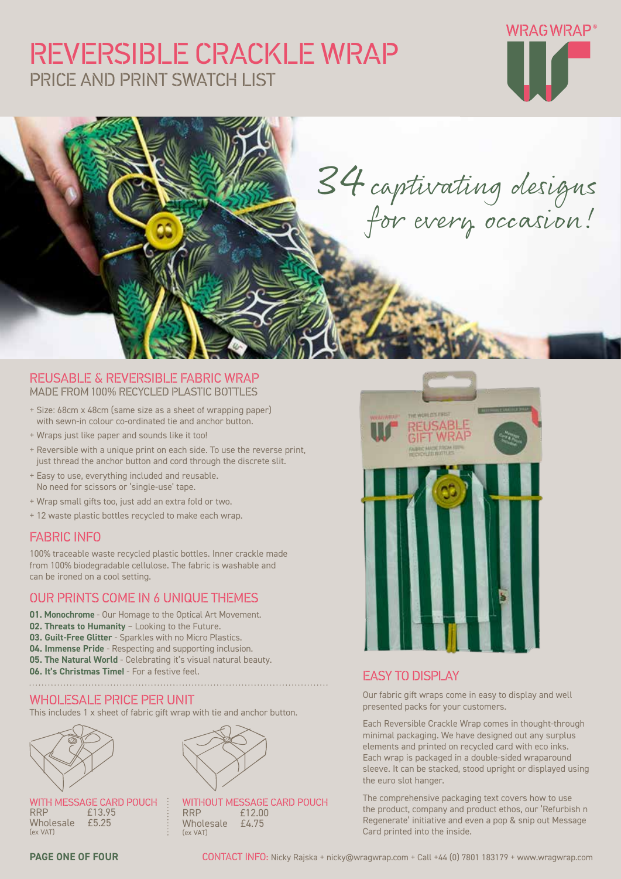# REVERSIBLE CRACKLE WRAP PRICE AND PRINT SWATCH LIST





#### REUSABLE & REVERSIBLE FABRIC WRAP MADE FROM 100% RECYCLED PLASTIC BOTTLES

- + Size: 68cm x 48cm (same size as a sheet of wrapping paper) with sewn-in colour co-ordinated tie and anchor button.
- + Wraps just like paper and sounds like it too!
- + Reversible with a unique print on each side. To use the reverse print, just thread the anchor button and cord through the discrete slit.
- + Easy to use, everything included and reusable. No need for scissors or 'single-use' tape.
- + Wrap small gifts too, just add an extra fold or two.
- + 12 waste plastic bottles recycled to make each wrap.

#### FABRIC INFO

100% traceable waste recycled plastic bottles. Inner crackle made from 100% biodegradable cellulose. The fabric is washable and can be ironed on a cool setting.

### OUR PRINTS COME IN 6 UNIQUE THEMES

- **01. Monochrome**  Our Homage to the Optical Art Movement.
- **02. Threats to Humanity** Looking to the Future.
- **03. Guilt-Free Glitter**  Sparkles with no Micro Plastics.
- **04. Immense Pride** Respecting and supporting inclusion.
- **05. The Natural World** Celebrating it's visual natural beauty.
- **06. It's Christmas Time!** For a festive feel.

#### WHOLESALE PRICE PER UNIT

This includes 1 x sheet of fabric gift wrap with tie and anchor button.



WITH MESSAGE CARD POUCH<br>RRP f13.95 £13.95 Wholesale £5.25 (ex VAT)



WITHOUT MESSAGE CARD POUCH<br>RRP 612.00  $£12.00$ <br>£4.75 Wholesale (ex VAT)



### EASY TO DISPLAY

Our fabric gift wraps come in easy to display and well presented packs for your customers.

Each Reversible Crackle Wrap comes in thought-through minimal packaging. We have designed out any surplus elements and printed on recycled card with eco inks. Each wrap is packaged in a double-sided wraparound sleeve. It can be stacked, stood upright or displayed using the euro slot hanger.

The comprehensive packaging text covers how to use the product, company and product ethos, our 'Refurbish n Regenerate' initiative and even a pop & snip out Message Card printed into the inside.

**PAGE ONE OF FOUR** CONTACT INFO: Nicky Rajska + nicky@wragwrap.com + Call +44 (0) 7801 183179 + www.wragwrap.com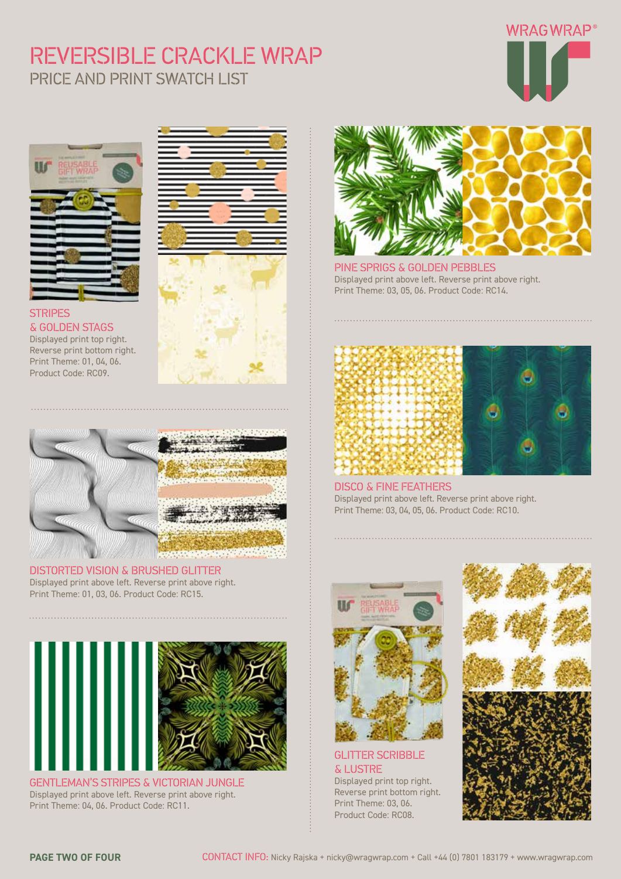# REVERSIBLE CRACKLE WRAP PRICE AND PRINT SWATCH LIST





#### **STRIPES** & GOLDEN STAGS Displayed print top right. Reverse print bottom right.

Print Theme: 01, 04, 06. Product Code: RC09.





#### DISTORTED VISION & BRUSHED GLITTER Displayed print above left. Reverse print above right. Print Theme: 01, 03, 06. Product Code: RC15.



GENTLEMAN'S STRIPES & VICTORIAN JUNGLE Displayed print above left. Reverse print above right. Print Theme: 04, 06. Product Code: RC11.



PINE SPRIGS & GOLDEN PEBBLES Displayed print above left. Reverse print above right. Print Theme: 03, 05, 06. Product Code: RC14.





DISCO & FINE FEATHERS Displayed print above left. Reverse print above right. Print Theme: 03, 04, 05, 06. Product Code: RC10.



GLITTER SCRIBBLE & LUSTRE Displayed print top right.

Reverse print bottom right. Print Theme: 03, 06. Product Code: RC08.

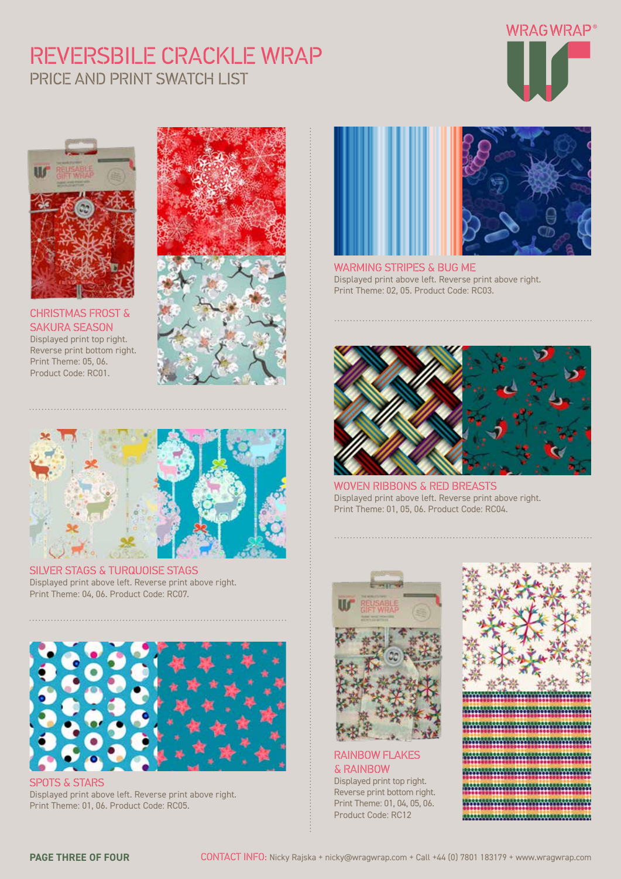# REVERSBILE CRACKLE WRAP PRICE AND PRINT SWATCH LIST





CHRISTMAS FROST & SAKURA SEASON Displayed print top right. Reverse print bottom right. Print Theme: 05, 06. Product Code: RC01.





SILVER STAGS & TURQUOISE STAGS Displayed print above left. Reverse print above right. Print Theme: 04, 06. Product Code: RC07.



SPOTS & STARS Displayed print above left. Reverse print above right. Print Theme: 01, 06. Product Code: RC05.



WARMING STRIPES & BUG ME Displayed print above left. Reverse print above right. Print Theme: 02, 05. Product Code: RC03.



WOVEN RIBBONS & RED BREASTS Displayed print above left. Reverse print above right. Print Theme: 01, 05, 06. Product Code: RC04.



RAINBOW FLAKES & RAINBOW Displayed print top right.

Reverse print bottom right. Print Theme: 01, 04, 05, 06. Product Code: RC12